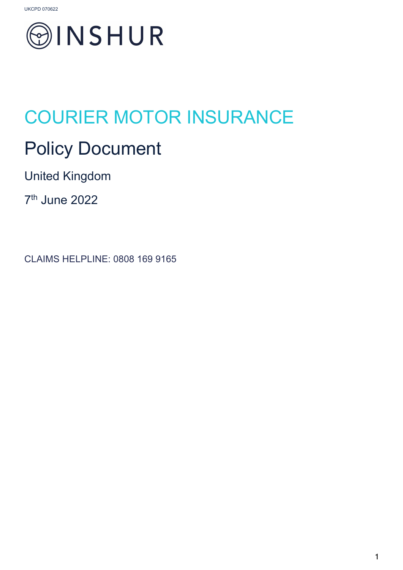

# COURIER MOTOR INSURANCE

## Policy Document

United Kingdom

7th June 2022

CLAIMS HELPLINE: 0808 169 9165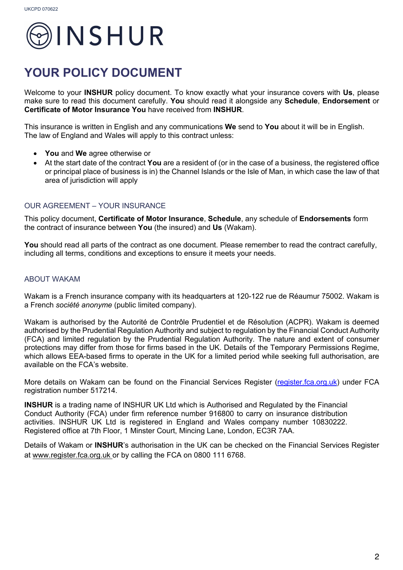

### **YOUR POLICY DOCUMENT**

Welcome to your **INSHUR** policy document. To know exactly what your insurance covers with **Us**, please make sure to read this document carefully. **You** should read it alongside any **Schedule**, **Endorsement** or **Certificate of Motor Insurance You** have received from **INSHUR**.

This insurance is written in English and any communications **We** send to **You** about it will be in English. The law of England and Wales will apply to this contract unless:

- **You** and **We** agree otherwise or
- At the start date of the contract **You** are a resident of (or in the case of a business, the registered office or principal place of business is in) the Channel Islands or the Isle of Man, in which case the law of that area of jurisdiction will apply

#### OUR AGREEMENT – YOUR INSURANCE

This policy document, **Certificate of Motor Insurance**, **Schedule**, any schedule of **Endorsements** form the contract of insurance between **You** (the insured) and **Us** (Wakam).

You should read all parts of the contract as one document. Please remember to read the contract carefully, including all terms, conditions and exceptions to ensure it meets your needs.

#### ABOUT WAKAM

Wakam is a French insurance company with its headquarters at 120-122 rue de Réaumur 75002. Wakam is a French *société anonyme* (public limited company).

Wakam is authorised by the Autorité de Contrôle Prudentiel et de Résolution (ACPR). Wakam is deemed authorised by the Prudential Regulation Authority and subject to regulation by the Financial Conduct Authority (FCA) and limited regulation by the Prudential Regulation Authority. The nature and extent of consumer protections may differ from those for firms based in the UK. Details of the Temporary Permissions Regime, which allows EEA-based firms to operate in the UK for a limited period while seeking full authorisation, are available on the FCA's website.

More details on Wakam can be found on the Financial Services Register (register.fca.org.uk) under FCA registration number 517214.

**INSHUR** is a trading name of INSHUR UK Ltd which is Authorised and Regulated by the Financial Conduct Authority (FCA) under firm reference number 916800 to carry on insurance distribution activities. INSHUR UK Ltd is registered in England and Wales company number 10830222. Registered office at 7th Floor, 1 Minster Court, Mincing Lane, London, EC3R 7AA.

Details of Wakam or **INSHUR**'s authorisation in the UK can be checked on the Financial Services Register at www.register.fca.org.uk or by calling the FCA on 0800 111 6768.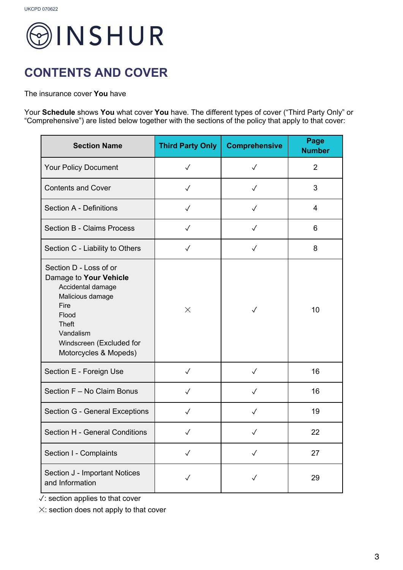

### **CONTENTS AND COVER**

The insurance cover **You** have

Your **Schedule** shows **You** what cover **You** have. The different types of cover ("Third Party Only" or "Comprehensive") are listed below together with the sections of the policy that apply to that cover:

| <b>Section Name</b>                                                                                                                                                                          | <b>Third Party Only</b> | <b>Comprehensive</b> | Page<br><b>Number</b> |
|----------------------------------------------------------------------------------------------------------------------------------------------------------------------------------------------|-------------------------|----------------------|-----------------------|
| Your Policy Document                                                                                                                                                                         | $\checkmark$            | $\sqrt{}$            | $\overline{2}$        |
| <b>Contents and Cover</b>                                                                                                                                                                    | $\checkmark$            | $\checkmark$         | 3                     |
| <b>Section A - Definitions</b>                                                                                                                                                               | $\checkmark$            | $\sqrt{}$            | $\overline{4}$        |
| <b>Section B - Claims Process</b>                                                                                                                                                            | $\checkmark$            | $\checkmark$         | 6                     |
| Section C - Liability to Others                                                                                                                                                              | $\checkmark$            | $\checkmark$         | 8                     |
| Section D - Loss of or<br>Damage to Your Vehicle<br>Accidental damage<br>Malicious damage<br>Fire<br>Flood<br><b>Theft</b><br>Vandalism<br>Windscreen (Excluded for<br>Motorcycles & Mopeds) | $\times$                | $\checkmark$         | 10                    |
| Section E - Foreign Use                                                                                                                                                                      | $\checkmark$            | $\checkmark$         | 16                    |
| Section F - No Claim Bonus                                                                                                                                                                   | $\checkmark$            | $\checkmark$         | 16                    |
| Section G - General Exceptions                                                                                                                                                               | $\checkmark$            | $\checkmark$         | 19                    |
| Section H - General Conditions                                                                                                                                                               | ✓                       | $\checkmark$         | 22                    |
| Section I - Complaints                                                                                                                                                                       | $\checkmark$            | $\checkmark$         | 27                    |
| Section J - Important Notices<br>and Information                                                                                                                                             | $\checkmark$            | $\checkmark$         | 29                    |

✓: section applies to that cover

✕: section does not apply to that cover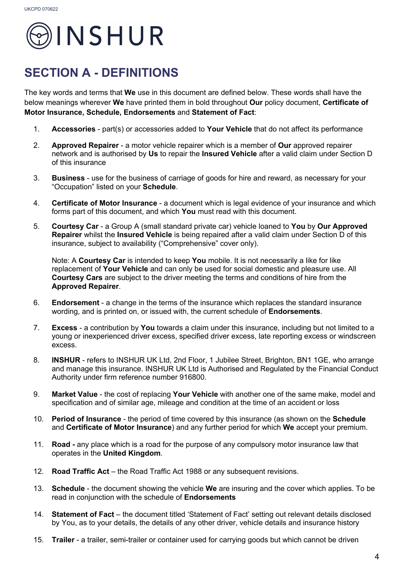

### **SECTION A - DEFINITIONS**

The key words and terms that **We** use in this document are defined below. These words shall have the below meanings wherever **We** have printed them in bold throughout **Our** policy document, **Certificate of Motor Insurance, Schedule, Endorsements** and **Statement of Fact**:

- 1. **Accessories**  part(s) or accessories added to **Your Vehicle** that do not affect its performance
- 2. **Approved Repairer** a motor vehicle repairer which is a member of **Our** approved repairer network and is authorised by **Us** to repair the **Insured Vehicle** after a valid claim under Section D of this insurance
- 3. **Business** use for the business of carriage of goods for hire and reward, as necessary for your "Occupation" listed on your **Schedule**.
- 4. **Certificate of Motor Insurance** a document which is legal evidence of your insurance and which forms part of this document, and which **You** must read with this document.
- 5. **Courtesy Car** a Group A (small standard private car) vehicle loaned to **You** by **Our Approved Repairer** whilst the **Insured Vehicle** is being repaired after a valid claim under Section D of this insurance, subject to availability ("Comprehensive" cover only).

Note: A **Courtesy Car** is intended to keep **You** mobile. It is not necessarily a like for like replacement of **Your Vehicle** and can only be used for social domestic and pleasure use. All **Courtesy Cars** are subject to the driver meeting the terms and conditions of hire from the **Approved Repairer**.

- 6. **Endorsement**  a change in the terms of the insurance which replaces the standard insurance wording, and is printed on, or issued with, the current schedule of **Endorsements**.
- 7. **Excess** a contribution by **You** towards a claim under this insurance, including but not limited to a young or inexperienced driver excess, specified driver excess, late reporting excess or windscreen excess.
- 8. **INSHUR** refers to INSHUR UK Ltd, 2nd Floor, 1 Jubilee Street, Brighton, BN1 1GE, who arrange and manage this insurance. INSHUR UK Ltd is Authorised and Regulated by the Financial Conduct Authority under firm reference number 916800.
- 9. **Market Value** the cost of replacing **Your Vehicle** with another one of the same make, model and specification and of similar age, mileage and condition at the time of an accident or loss
- 10. **Period of Insurance** the period of time covered by this insurance (as shown on the **Schedule** and **Certificate of Motor Insurance**) and any further period for which **We** accept your premium.
- 11. **Road -** any place which is a road for the purpose of any compulsory motor insurance law that operates in the **United Kingdom**.
- 12. **Road Traffic Act** the Road Traffic Act 1988 or any subsequent revisions.
- 13. **Schedule**  the document showing the vehicle **We** are insuring and the cover which applies. To be read in conjunction with the schedule of **Endorsements**
- 14. **Statement of Fact** the document titled 'Statement of Fact' setting out relevant details disclosed by You, as to your details, the details of any other driver, vehicle details and insurance history
- 15. **Trailer** a trailer, semi-trailer or container used for carrying goods but which cannot be driven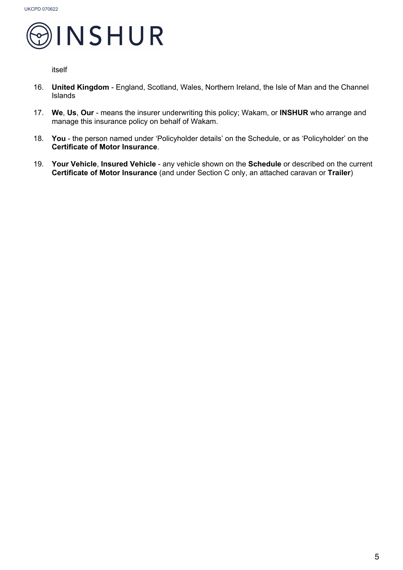

itself

- 16. **United Kingdom** England, Scotland, Wales, Northern Ireland, the Isle of Man and the Channel Islands
- 17. **We**, **Us**, **Our** means the insurer underwriting this policy; Wakam, or **INSHUR** who arrange and manage this insurance policy on behalf of Wakam.
- 18. **You**  the person named under 'Policyholder details' on the Schedule, or as 'Policyholder' on the **Certificate of Motor Insurance**.
- 19. **Your Vehicle**, **Insured Vehicle** any vehicle shown on the **Schedule** or described on the current **Certificate of Motor Insurance** (and under Section C only, an attached caravan or **Trailer**)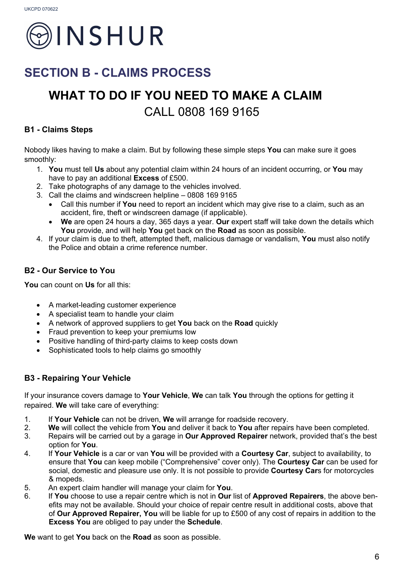

### **SECTION B - CLAIMS PROCESS**

## **WHAT TO DO IF YOU NEED TO MAKE A CLAIM**  CALL 0808 169 9165

#### **B1 - Claims Steps**

Nobody likes having to make a claim. But by following these simple steps **You** can make sure it goes smoothly:

- 1. **You** must tell **Us** about any potential claim within 24 hours of an incident occurring, or **You** may have to pay an additional **Excess** of £500.
- 2. Take photographs of any damage to the vehicles involved.
- 3. Call the claims and windscreen helpline 0808 169 9165
	- Call this number if **You** need to report an incident which may give rise to a claim, such as an accident, fire, theft or windscreen damage (if applicable).
	- **We** are open 24 hours a day, 365 days a year. **Our** expert staff will take down the details which **You** provide, and will help **You** get back on the **Road** as soon as possible.
- 4. If your claim is due to theft, attempted theft, malicious damage or vandalism, **You** must also notify the Police and obtain a crime reference number.

#### **B2 - Our Service to You**

**You** can count on **Us** for all this:

- A market-leading customer experience
- A specialist team to handle your claim
- A network of approved suppliers to get **You** back on the **Road** quickly
- Fraud prevention to keep your premiums low
- Positive handling of third-party claims to keep costs down
- Sophisticated tools to help claims go smoothly

#### **B3 - Repairing Your Vehicle**

If your insurance covers damage to **Your Vehicle**, **We** can talk **You** through the options for getting it repaired. **We** will take care of everything:

- 1. If **Your Vehicle** can not be driven, **We** will arrange for roadside recovery.
- 2. **We** will collect the vehicle from **You** and deliver it back to **You** after repairs have been completed.
- 3. Repairs will be carried out by a garage in **Our Approved Repairer** network, provided that's the best option for **You**.
- 4. If **Your Vehicle** is a car or van **You** will be provided with a **Courtesy Car**, subject to availability, to ensure that **You** can keep mobile ("Comprehensive" cover only). The **Courtesy Car** can be used for social, domestic and pleasure use only. It is not possible to provide **Courtesy Car**s for motorcycles & mopeds.
- 5. An expert claim handler will manage your claim for **You**.
- 6. If **You** choose to use a repair centre which is not in **Our** list of **Approved Repairers**, the above benefits may not be available. Should your choice of repair centre result in additional costs, above that of **Our Approved Repairer, You** will be liable for up to £500 of any cost of repairs in addition to the **Excess You** are obliged to pay under the **Schedule**.

**We** want to get **You** back on the **Road** as soon as possible.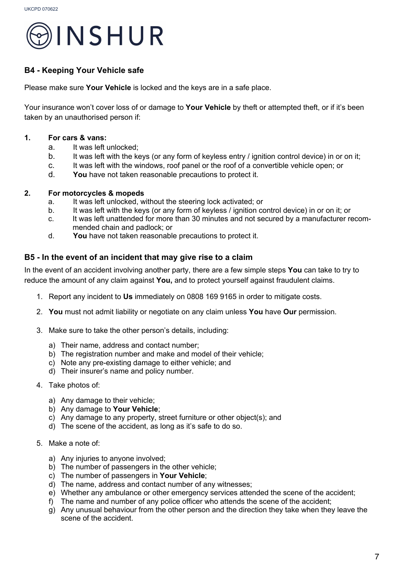

#### **B4 - Keeping Your Vehicle safe**

Please make sure **Your Vehicle** is locked and the keys are in a safe place.

Your insurance won't cover loss of or damage to **Your Vehicle** by theft or attempted theft, or if it's been taken by an unauthorised person if:

#### **1. For cars & vans:**

- a. It was left unlocked;
- b. It was left with the keys (or any form of keyless entry / ignition control device) in or on it;
- c. It was left with the windows, roof panel or the roof of a convertible vehicle open; or
- d. **You** have not taken reasonable precautions to protect it.

#### **2. For motorcycles & mopeds**

- a. It was left unlocked, without the steering lock activated; or
- b. It was left with the keys (or any form of keyless / ignition control device) in or on it; or
- c. It was left unattended for more than 30 minutes and not secured by a manufacturer recommended chain and padlock; or
- d. **You** have not taken reasonable precautions to protect it.

#### **B5 - In the event of an incident that may give rise to a claim**

In the event of an accident involving another party, there are a few simple steps **You** can take to try to reduce the amount of any claim against **You,** and to protect yourself against fraudulent claims.

- 1. Report any incident to **Us** immediately on 0808 169 9165 in order to mitigate costs.
- 2. **You** must not admit liability or negotiate on any claim unless **You** have **Our** permission.
- 3. Make sure to take the other person's details, including:
	- a) Their name, address and contact number;
	- b) The registration number and make and model of their vehicle;
	- c) Note any pre-existing damage to either vehicle; and
	- d) Their insurer's name and policy number.
- 4. Take photos of:
	- a) Any damage to their vehicle;
	- b) Any damage to **Your Vehicle**;
	- c) Any damage to any property, street furniture or other object(s); and
	- d) The scene of the accident, as long as it's safe to do so.
- 5. Make a note of:
	- a) Any injuries to anyone involved;
	- b) The number of passengers in the other vehicle;
	- c) The number of passengers in **Your Vehicle**;
	- d) The name, address and contact number of any witnesses;
	- e) Whether any ambulance or other emergency services attended the scene of the accident;
	- f) The name and number of any police officer who attends the scene of the accident;
	- g) Any unusual behaviour from the other person and the direction they take when they leave the scene of the accident.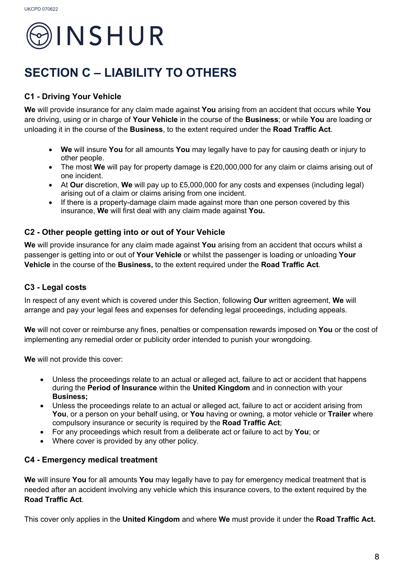

### **SECTION C – LIABILITY TO OTHERS**

### **C1 - Driving Your Vehicle**

**We** will provide insurance for any claim made against **You** arising from an accident that occurs while **You** are driving, using or in charge of **Your Vehicle** in the course of the **Business**; or while **You** are loading or unloading it in the course of the **Business**, to the extent required under the **Road Traffic Act**.

- **We** will insure **You** for all amounts **You** may legally have to pay for causing death or injury to other people.
- The most **We** will pay for property damage is £20,000,000 for any claim or claims arising out of one incident.
- At **Our** discretion, **We** will pay up to £5,000,000 for any costs and expenses (including legal) arising out of a claim or claims arising from one incident.
- If there is a property-damage claim made against more than one person covered by this insurance, **We** will first deal with any claim made against **You.**

#### **C2 - Other people getting into or out of Your Vehicle**

**We** will provide insurance for any claim made against **You** arising from an accident that occurs whilst a passenger is getting into or out of **Your Vehicle** or whilst the passenger is loading or unloading **Your Vehicle** in the course of the **Business,** to the extent required under the **Road Traffic Act**.

#### **C3 - Legal costs**

In respect of any event which is covered under this Section, following **Our** written agreement, **We** will arrange and pay your legal fees and expenses for defending legal proceedings, including appeals.

**We** will not cover or reimburse any fines, penalties or compensation rewards imposed on **You** or the cost of implementing any remedial order or publicity order intended to punish your wrongdoing.

**We** will not provide this cover:

- Unless the proceedings relate to an actual or alleged act, failure to act or accident that happens during the **Period of Insurance** within the **United Kingdom** and in connection with your **Business;**
- Unless the proceedings relate to an actual or alleged act, failure to act or accident arising from **You**, or a person on your behalf using, or **You** having or owning, a motor vehicle or **Trailer** where compulsory insurance or security is required by the **Road Traffic Act**;
- For any proceedings which result from a deliberate act or failure to act by **You**; or
- Where cover is provided by any other policy.

#### **C4 - Emergency medical treatment**

**We** will insure **You** for all amounts **You** may legally have to pay for emergency medical treatment that is needed after an accident involving any vehicle which this insurance covers, to the extent required by the **Road Traffic Act**.

This cover only applies in the **United Kingdom** and where **We** must provide it under the **Road Traffic Act.**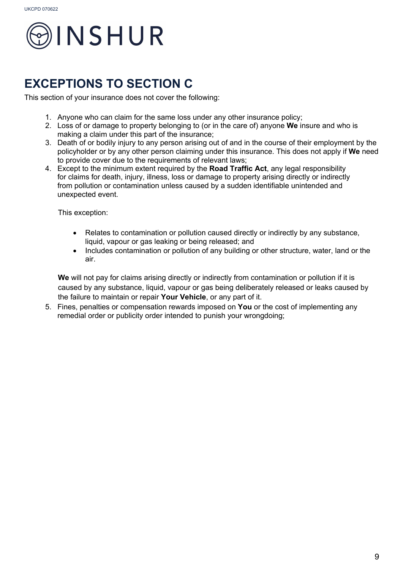

### **EXCEPTIONS TO SECTION C**

This section of your insurance does not cover the following:

- 1. Anyone who can claim for the same loss under any other insurance policy;
- 2. Loss of or damage to property belonging to (or in the care of) anyone **We** insure and who is making a claim under this part of the insurance;
- 3. Death of or bodily injury to any person arising out of and in the course of their employment by the policyholder or by any other person claiming under this insurance. This does not apply if **We** need to provide cover due to the requirements of relevant laws;
- 4. Except to the minimum extent required by the **Road Traffic Act**, any legal responsibility for claims for death, injury, illness, loss or damage to property arising directly or indirectly from pollution or contamination unless caused by a sudden identifiable unintended and unexpected event.

This exception:

- Relates to contamination or pollution caused directly or indirectly by any substance, liquid, vapour or gas leaking or being released; and
- Includes contamination or pollution of any building or other structure, water, land or the air.

We will not pay for claims arising directly or indirectly from contamination or pollution if it is caused by any substance, liquid, vapour or gas being deliberately released or leaks caused by the failure to maintain or repair **Your Vehicle**, or any part of it.

5. Fines, penalties or compensation rewards imposed on **You** or the cost of implementing any remedial order or publicity order intended to punish your wrongdoing;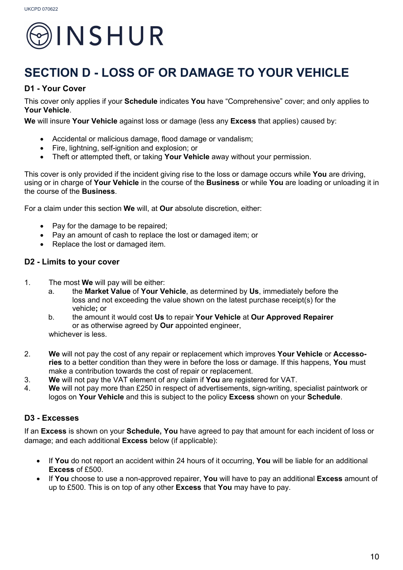

### **SECTION D - LOSS OF OR DAMAGE TO YOUR VEHICLE**

#### **D1 - Your Cover**

This cover only applies if your **Schedule** indicates **You** have "Comprehensive" cover; and only applies to **Your Vehicle**.

**We** will insure **Your Vehicle** against loss or damage (less any **Excess** that applies) caused by:

- Accidental or malicious damage, flood damage or vandalism;
- Fire, lightning, self-ignition and explosion; or
- Theft or attempted theft, or taking **Your Vehicle** away without your permission.

This cover is only provided if the incident giving rise to the loss or damage occurs while **You** are driving, using or in charge of **Your Vehicle** in the course of the **Business** or while **You** are loading or unloading it in the course of the **Business**.

For a claim under this section **We** will, at **Our** absolute discretion, either:

- Pay for the damage to be repaired;
- Pay an amount of cash to replace the lost or damaged item; or
- Replace the lost or damaged item.

#### **D2 - Limits to your cover**

- 1. The most **We** will pay will be either:
	- a. the **Market Value** of **Your Vehicle**, as determined by **Us**, immediately before the loss and not exceeding the value shown on the latest purchase receipt(s) for the vehicle**;** or
	- b. the amount it would cost **Us** to repair **Your Vehicle** at **Our Approved Repairer** or as otherwise agreed by **Our** appointed engineer, whichever is less.
- 2. **We** will not pay the cost of any repair or replacement which improves **Your Vehicle** or **Accessories** to a better condition than they were in before the loss or damage. If this happens, **You** must make a contribution towards the cost of repair or replacement.
- 3. **We** will not pay the VAT element of any claim if **You** are registered for VAT.
- 4. **We** will not pay more than £250 in respect of advertisements, sign-writing, specialist paintwork or logos on **Your Vehicle** and this is subject to the policy **Excess** shown on your **Schedule**.

#### **D3 - Excesses**

If an **Excess** is shown on your **Schedule, You** have agreed to pay that amount for each incident of loss or damage; and each additional **Excess** below (if applicable):

- If **You** do not report an accident within 24 hours of it occurring, **You** will be liable for an additional **Excess** of £500.
- If **You** choose to use a non-approved repairer, **You** will have to pay an additional **Excess** amount of up to £500. This is on top of any other **Excess** that **You** may have to pay.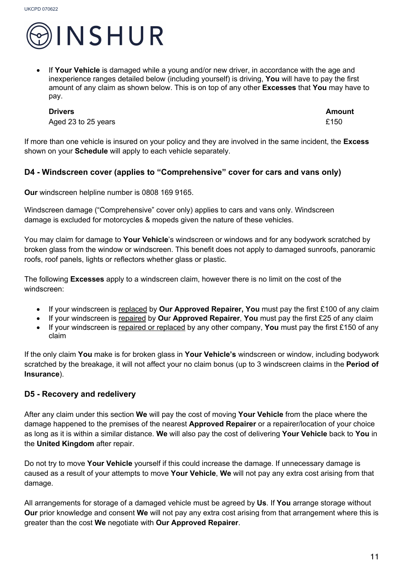

• If **Your Vehicle** is damaged while a young and/or new driver, in accordance with the age and inexperience ranges detailed below (including yourself) is driving, **You** will have to pay the first amount of any claim as shown below. This is on top of any other **Excesses** that **You** may have to pay.

Aged 23 to 25 years **E150** 

**Drivers Amount**

If more than one vehicle is insured on your policy and they are involved in the same incident, the **Excess**  shown on your **Schedule** will apply to each vehicle separately.

#### **D4 - Windscreen cover (applies to "Comprehensive" cover for cars and vans only)**

**Our** windscreen helpline number is 0808 169 9165.

Windscreen damage ("Comprehensive" cover only) applies to cars and vans only. Windscreen damage is excluded for motorcycles & mopeds given the nature of these vehicles.

You may claim for damage to **Your Vehicle**'s windscreen or windows and for any bodywork scratched by broken glass from the window or windscreen. This benefit does not apply to damaged sunroofs, panoramic roofs, roof panels, lights or reflectors whether glass or plastic.

The following **Excesses** apply to a windscreen claim, however there is no limit on the cost of the windscreen:

- If your windscreen is replaced by **Our Approved Repairer, You** must pay the first £100 of any claim
- If your windscreen is repaired by **Ou**r **Approved Repairer**, **You** must pay the first £25 of any claim
- If your windscreen is repaired or replaced by any other company, **You** must pay the first £150 of any claim

If the only claim **You** make is for broken glass in **Your Vehicle's** windscreen or window, including bodywork scratched by the breakage, it will not affect your no claim bonus (up to 3 windscreen claims in the **Period of Insurance**).

#### **D5 - Recovery and redelivery**

After any claim under this section **We** will pay the cost of moving **Your Vehicle** from the place where the damage happened to the premises of the nearest **Approved Repairer** or a repairer/location of your choice as long as it is within a similar distance. **We** will also pay the cost of delivering **Your Vehicle** back to **You** in the **United Kingdom** after repair.

Do not try to move **Your Vehicle** yourself if this could increase the damage. If unnecessary damage is caused as a result of your attempts to move **Your Vehicle**, **We** will not pay any extra cost arising from that damage.

All arrangements for storage of a damaged vehicle must be agreed by **Us**. If **You** arrange storage without **Our** prior knowledge and consent **We** will not pay any extra cost arising from that arrangement where this is greater than the cost **We** negotiate with **Our Approved Repairer**.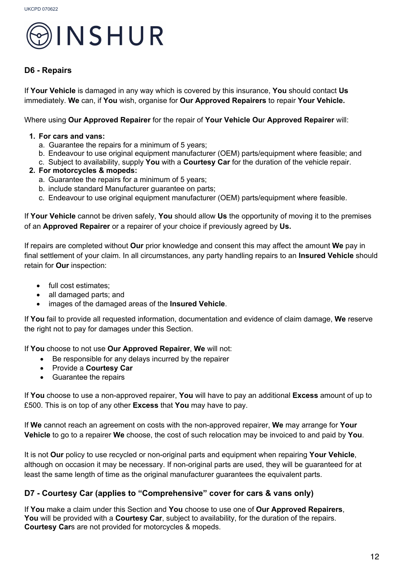

#### **D6 - Repairs**

If **Your Vehicle** is damaged in any way which is covered by this insurance, **You** should contact **Us**  immediately. **We** can, if **You** wish, organise for **Our Approved Repairers** to repair **Your Vehicle.**

Where using **Our Approved Repairer** for the repair of **Your Vehicle Ou**r **Approved Repairer** will:

#### **1. For cars and vans:**

- a. Guarantee the repairs for a minimum of 5 years;
- b. Endeavour to use original equipment manufacturer (OEM) parts/equipment where feasible; and
- c. Subject to availability, supply **You** with a **Courtesy Car** for the duration of the vehicle repair.
- **2. For motorcycles & mopeds:**
	- a. Guarantee the repairs for a minimum of 5 years;
	- b. include standard Manufacturer guarantee on parts;
	- c. Endeavour to use original equipment manufacturer (OEM) parts/equipment where feasible.

If **Your Vehicle** cannot be driven safely, **You** should allow **Us** the opportunity of moving it to the premises of an **Approved Repairer** or a repairer of your choice if previously agreed by **Us.**

If repairs are completed without **Our** prior knowledge and consent this may affect the amount **We** pay in final settlement of your claim. In all circumstances, any party handling repairs to an **Insured Vehicle** should retain for **Our** inspection:

- full cost estimates;
- all damaged parts; and
- images of the damaged areas of the **Insured Vehicle**.

If **You** fail to provide all requested information, documentation and evidence of claim damage, **We** reserve the right not to pay for damages under this Section.

If **You** choose to not use **Our Approved Repairer**, **We** will not:

- Be responsible for any delays incurred by the repairer
- Provide a **Courtesy Car**
- Guarantee the repairs

If **You** choose to use a non-approved repairer, **You** will have to pay an additional **Excess** amount of up to £500. This is on top of any other **Excess** that **You** may have to pay.

If **We** cannot reach an agreement on costs with the non-approved repairer, **We** may arrange for **Your Vehicle** to go to a repairer **We** choose, the cost of such relocation may be invoiced to and paid by **You**.

It is not **Our** policy to use recycled or non-original parts and equipment when repairing **Your Vehicle**, although on occasion it may be necessary. If non-original parts are used, they will be guaranteed for at least the same length of time as the original manufacturer guarantees the equivalent parts.

#### **D7 - Courtesy Car (applies to "Comprehensive" cover for cars & vans only)**

If **You** make a claim under this Section and **You** choose to use one of **Our Approved Repairers**, **You** will be provided with a **Courtesy Car**, subject to availability, for the duration of the repairs. **Courtesy Car**s are not provided for motorcycles & mopeds.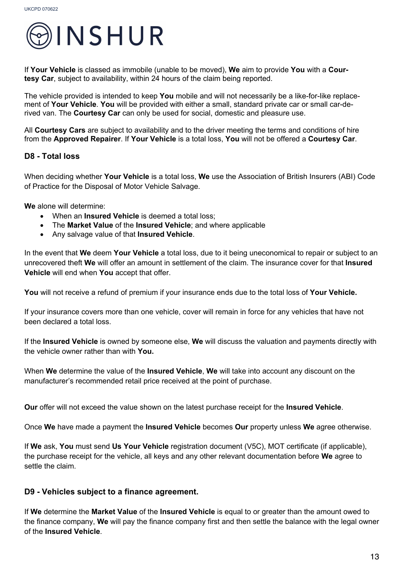

If **Your Vehicle** is classed as immobile (unable to be moved), **We** aim to provide **You** with a **Courtesy Car**, subject to availability, within 24 hours of the claim being reported.

The vehicle provided is intended to keep **You** mobile and will not necessarily be a like-for-like replacement of **Your Vehicle**. **You** will be provided with either a small, standard private car or small car-derived van. The **Courtesy Car** can only be used for social, domestic and pleasure use.

All **Courtesy Cars** are subject to availability and to the driver meeting the terms and conditions of hire from the **Approved Repairer**. If **Your Vehicle** is a total loss, **You** will not be offered a **Courtesy Car**.

#### **D8 - Total loss**

When deciding whether **Your Vehicle** is a total loss, **We** use the Association of British Insurers (ABI) Code of Practice for the Disposal of Motor Vehicle Salvage.

**We** alone will determine:

- When an **Insured Vehicle** is deemed a total loss;
- The **Market Value** of the **Insured Vehicle**; and where applicable
- Any salvage value of that **Insured Vehicle**.

In the event that **We** deem **Your Vehicle** a total loss, due to it being uneconomical to repair or subject to an unrecovered theft **We** will offer an amount in settlement of the claim. The insurance cover for that **Insured Vehicle** will end when **You** accept that offer.

**You** will not receive a refund of premium if your insurance ends due to the total loss of **Your Vehicle.**

If your insurance covers more than one vehicle, cover will remain in force for any vehicles that have not been declared a total loss.

If the **Insured Vehicle** is owned by someone else, **We** will discuss the valuation and payments directly with the vehicle owner rather than with **You.**

When **We** determine the value of the **Insured Vehicle**, **We** will take into account any discount on the manufacturer's recommended retail price received at the point of purchase.

**Our** offer will not exceed the value shown on the latest purchase receipt for the **Insured Vehicle**.

Once **We** have made a payment the **Insured Vehicle** becomes **Our** property unless **We** agree otherwise.

If **We** ask, **You** must send **Us Your Vehicle** registration document (V5C), MOT certificate (if applicable), the purchase receipt for the vehicle, all keys and any other relevant documentation before **We** agree to settle the claim.

#### **D9 - Vehicles subject to a finance agreement.**

If **We** determine the **Market Value** of the **Insured Vehicle** is equal to or greater than the amount owed to the finance company, **We** will pay the finance company first and then settle the balance with the legal owner of the **Insured Vehicle**.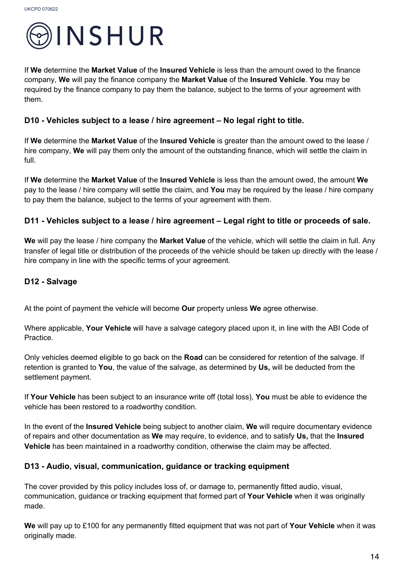

If **We** determine the **Market Value** of the **Insured Vehicle** is less than the amount owed to the finance company, **We** will pay the finance company the **Market Value** of the **Insured Vehicle**. **You** may be required by the finance company to pay them the balance, subject to the terms of your agreement with them.

#### **D10 - Vehicles subject to a lease / hire agreement – No legal right to title.**

If **We** determine the **Market Value** of the **Insured Vehicle** is greater than the amount owed to the lease / hire company, **We** will pay them only the amount of the outstanding finance, which will settle the claim in full.

If **We** determine the **Market Value** of the **Insured Vehicle** is less than the amount owed, the amount **We**  pay to the lease / hire company will settle the claim, and **You** may be required by the lease / hire company to pay them the balance, subject to the terms of your agreement with them.

#### **D11 - Vehicles subject to a lease / hire agreement – Legal right to title or proceeds of sale.**

**We** will pay the lease / hire company the **Market Value** of the vehicle, which will settle the claim in full. Any transfer of legal title or distribution of the proceeds of the vehicle should be taken up directly with the lease / hire company in line with the specific terms of your agreement.

#### **D12 - Salvage**

At the point of payment the vehicle will become **Our** property unless **We** agree otherwise.

Where applicable, **Your Vehicle** will have a salvage category placed upon it, in line with the ABI Code of Practice.

Only vehicles deemed eligible to go back on the **Road** can be considered for retention of the salvage. If retention is granted to **You**, the value of the salvage, as determined by **Us,** will be deducted from the settlement payment.

If **Your Vehicle** has been subject to an insurance write off (total loss), **You** must be able to evidence the vehicle has been restored to a roadworthy condition.

In the event of the **Insured Vehicle** being subject to another claim, **We** will require documentary evidence of repairs and other documentation as **We** may require, to evidence, and to satisfy **Us,** that the **Insured Vehicle** has been maintained in a roadworthy condition, otherwise the claim may be affected.

#### **D13 - Audio, visual, communication, guidance or tracking equipment**

The cover provided by this policy includes loss of, or damage to, permanently fitted audio, visual, communication, guidance or tracking equipment that formed part of **Your Vehicle** when it was originally made.

**We** will pay up to £100 for any permanently fitted equipment that was not part of **Your Vehicle** when it was originally made.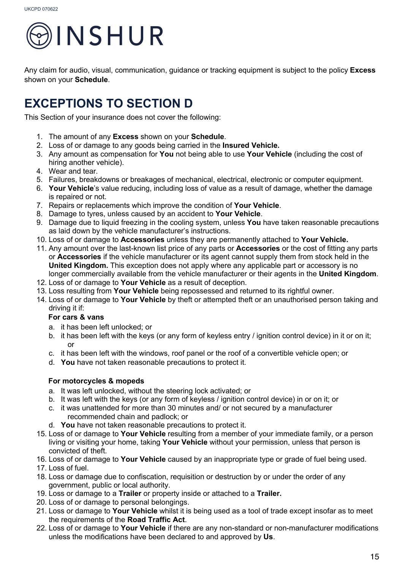

Any claim for audio, visual, communication, guidance or tracking equipment is subject to the policy **Excess** shown on your **Schedule**.

### **EXCEPTIONS TO SECTION D**

This Section of your insurance does not cover the following:

- 1. The amount of any **Excess** shown on your **Schedule**.
- 2. Loss of or damage to any goods being carried in the **Insured Vehicle.**
- 3. Any amount as compensation for **You** not being able to use **Your Vehicle** (including the cost of hiring another vehicle).
- 4. Wear and tear.
- 5. Failures, breakdowns or breakages of mechanical, electrical, electronic or computer equipment.
- 6. **Your Vehicle**'s value reducing, including loss of value as a result of damage, whether the damage is repaired or not.
- 7. Repairs or replacements which improve the condition of **Your Vehicle**.
- 8. Damage to tyres, unless caused by an accident to **Your Vehicle**.
- 9. Damage due to liquid freezing in the cooling system, unless **You** have taken reasonable precautions as laid down by the vehicle manufacturer's instructions.
- 10. Loss of or damage to **Accessories** unless they are permanently attached to **Your Vehicle.**
- 11. Any amount over the last-known list price of any parts or **Accessories** or the cost of fitting any parts or **Accessories** if the vehicle manufacturer or its agent cannot supply them from stock held in the **United Kingdom.** This exception does not apply where any applicable part or accessory is no longer commercially available from the vehicle manufacturer or their agents in the **United Kingdom**.
- 12. Loss of or damage to **Your Vehicle** as a result of deception.
- 13. Loss resulting from **Your Vehicle** being repossessed and returned to its rightful owner.
- 14. Loss of or damage to **Your Vehicle** by theft or attempted theft or an unauthorised person taking and driving it if:

#### **For cars & vans**

- a. it has been left unlocked; or
- b. it has been left with the keys (or any form of keyless entry / ignition control device) in it or on it; or
- c. it has been left with the windows, roof panel or the roof of a convertible vehicle open; or
- d. **You** have not taken reasonable precautions to protect it.

#### **For motorcycles & mopeds**

- a. It was left unlocked, without the steering lock activated; or
- b. It was left with the keys (or any form of keyless / ignition control device) in or on it; or
- c. it was unattended for more than 30 minutes and/ or not secured by a manufacturer recommended chain and padlock; or
- d. **You** have not taken reasonable precautions to protect it.
- 15. Loss of or damage to **Your Vehicle** resulting from a member of your immediate family, or a person living or visiting your home, taking **Your Vehicle** without your permission, unless that person is convicted of theft.
- 16. Loss of or damage to **Your Vehicle** caused by an inappropriate type or grade of fuel being used.
- 17. Loss of fuel.
- 18. Loss or damage due to confiscation, requisition or destruction by or under the order of any government, public or local authority.
- 19. Loss or damage to a **Trailer** or property inside or attached to a **Trailer.**
- 20. Loss of or damage to personal belongings.
- 21. Loss or damage to **Your Vehicle** whilst it is being used as a tool of trade except insofar as to meet the requirements of the **Road Traffic Act**.
- 22. Loss of or damage to **Your Vehicle** if there are any non-standard or non-manufacturer modifications unless the modifications have been declared to and approved by **Us**.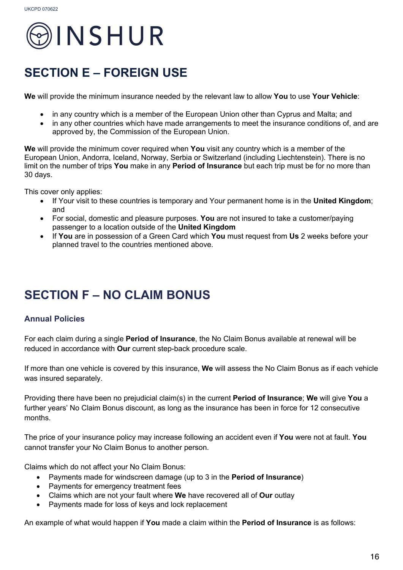

### **SECTION E – FOREIGN USE**

**We** will provide the minimum insurance needed by the relevant law to allow **You** to use **Your Vehicle**:

- in any country which is a member of the European Union other than Cyprus and Malta; and
- in any other countries which have made arrangements to meet the insurance conditions of, and are approved by, the Commission of the European Union.

**We** will provide the minimum cover required when **You** visit any country which is a member of the European Union, Andorra, Iceland, Norway, Serbia or Switzerland (including Liechtenstein). There is no limit on the number of trips **You** make in any **Period of Insurance** but each trip must be for no more than 30 days.

This cover only applies:

- If Your visit to these countries is temporary and Your permanent home is in the **United Kingdom**; and
- For social, domestic and pleasure purposes. **You** are not insured to take a customer/paying passenger to a location outside of the **United Kingdom**
- If **You** are in possession of a Green Card which **You** must request from **Us** 2 weeks before your planned travel to the countries mentioned above.

### **SECTION F – NO CLAIM BONUS**

#### **Annual Policies**

For each claim during a single **Period of Insurance**, the No Claim Bonus available at renewal will be reduced in accordance with **Our** current step-back procedure scale.

If more than one vehicle is covered by this insurance, **We** will assess the No Claim Bonus as if each vehicle was insured separately.

Providing there have been no prejudicial claim(s) in the current **Period of Insurance**; **We** will give **You** a further years' No Claim Bonus discount, as long as the insurance has been in force for 12 consecutive months.

The price of your insurance policy may increase following an accident even if **You** were not at fault. **You**  cannot transfer your No Claim Bonus to another person.

Claims which do not affect your No Claim Bonus:

- Payments made for windscreen damage (up to 3 in the **Period of Insurance**)
- Payments for emergency treatment fees
- Claims which are not your fault where **We** have recovered all of **Our** outlay
- Payments made for loss of keys and lock replacement

An example of what would happen if **You** made a claim within the **Period of Insurance** is as follows: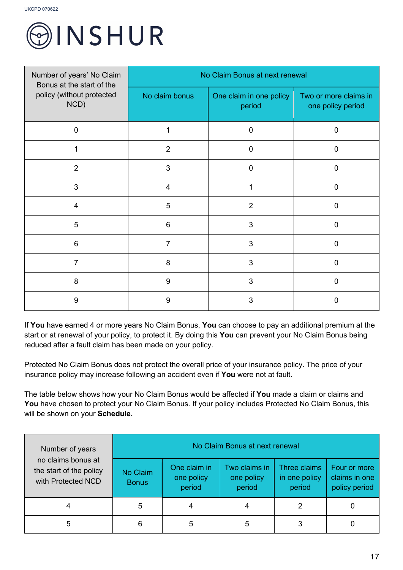

| Number of years' No Claim<br>Bonus at the start of the | No Claim Bonus at next renewal |                                   |                                            |  |
|--------------------------------------------------------|--------------------------------|-----------------------------------|--------------------------------------------|--|
| policy (without protected<br>NCD)                      | No claim bonus                 | One claim in one policy<br>period | Two or more claims in<br>one policy period |  |
| $\overline{0}$                                         | 1                              | $\overline{0}$                    | $\overline{0}$                             |  |
|                                                        | $\overline{2}$                 | $\overline{0}$                    | $\overline{0}$                             |  |
| $\overline{2}$                                         | 3                              | $\overline{0}$                    | $\mathbf 0$                                |  |
| 3                                                      | $\overline{4}$                 | 1                                 | $\overline{0}$                             |  |
| $\overline{4}$                                         | 5                              | $\overline{2}$                    | $\mathbf 0$                                |  |
| 5                                                      | 6                              | 3                                 | $\overline{0}$                             |  |
| $6\phantom{1}6$                                        | 7                              | 3                                 | $\mathbf 0$                                |  |
| 7                                                      | 8                              | 3                                 | $\overline{0}$                             |  |
| 8                                                      | 9                              | $\mathbf{3}$                      | $\overline{0}$                             |  |
| 9                                                      | 9                              | 3                                 | 0                                          |  |

If **You** have earned 4 or more years No Claim Bonus, **You** can choose to pay an additional premium at the start or at renewal of your policy, to protect it. By doing this **You** can prevent your No Claim Bonus being reduced after a fault claim has been made on your policy.

Protected No Claim Bonus does not protect the overall price of your insurance policy. The price of your insurance policy may increase following an accident even if **You** were not at fault.

The table below shows how your No Claim Bonus would be affected if **You** made a claim or claims and You have chosen to protect your No Claim Bonus. If your policy includes Protected No Claim Bonus, this will be shown on your **Schedule.** 

| Number of years                                                     | No Claim Bonus at next renewal |                                      |                                       |                                         |                                                |
|---------------------------------------------------------------------|--------------------------------|--------------------------------------|---------------------------------------|-----------------------------------------|------------------------------------------------|
| no claims bonus at<br>the start of the policy<br>with Protected NCD | No Claim<br><b>Bonus</b>       | One claim in<br>one policy<br>period | Two claims in<br>one policy<br>period | Three claims<br>in one policy<br>period | Four or more<br>claims in one<br>policy period |
|                                                                     | 5                              |                                      |                                       |                                         |                                                |
|                                                                     | 6                              | 5                                    | 5                                     | 3                                       |                                                |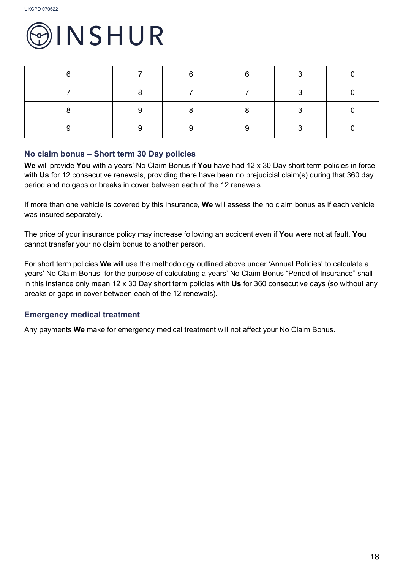

| ⌒ | r | <u>r</u> |  |
|---|---|----------|--|
|   |   |          |  |
|   | o |          |  |
|   |   |          |  |

#### **No claim bonus – Short term 30 Day policies**

**We** will provide **You** with a years' No Claim Bonus if **You** have had 12 x 30 Day short term policies in force with **Us** for 12 consecutive renewals, providing there have been no prejudicial claim(s) during that 360 day period and no gaps or breaks in cover between each of the 12 renewals.

If more than one vehicle is covered by this insurance, **We** will assess the no claim bonus as if each vehicle was insured separately.

The price of your insurance policy may increase following an accident even if **You** were not at fault. **You**  cannot transfer your no claim bonus to another person.

For short term policies **We** will use the methodology outlined above under 'Annual Policies' to calculate a years' No Claim Bonus; for the purpose of calculating a years' No Claim Bonus "Period of Insurance" shall in this instance only mean 12 x 30 Day short term policies with **Us** for 360 consecutive days (so without any breaks or gaps in cover between each of the 12 renewals).

#### **Emergency medical treatment**

Any payments **We** make for emergency medical treatment will not affect your No Claim Bonus.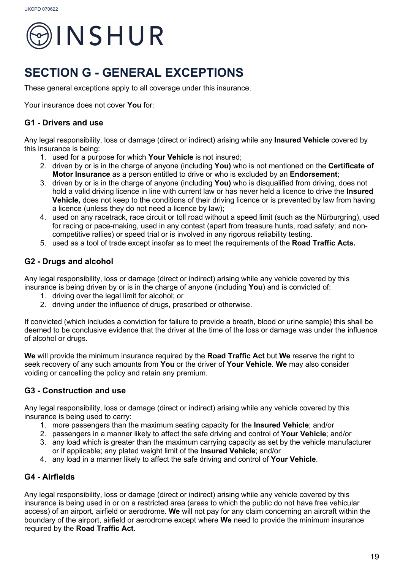

### **SECTION G - GENERAL EXCEPTIONS**

These general exceptions apply to all coverage under this insurance.

Your insurance does not cover **You** for:

#### **G1 - Drivers and use**

Any legal responsibility, loss or damage (direct or indirect) arising while any **Insured Vehicle** covered by this insurance is being:

- 1. used for a purpose for which **Your Vehicle** is not insured;
- 2. driven by or is in the charge of anyone (including **You)** who is not mentioned on the **Certificate of Motor Insurance** as a person entitled to drive or who is excluded by an **Endorsement**;
- 3. driven by or is in the charge of anyone (including **You)** who is disqualified from driving, does not hold a valid driving licence in line with current law or has never held a licence to drive the **Insured Vehicle,** does not keep to the conditions of their driving licence or is prevented by law from having a licence (unless they do not need a licence by law);
- 4. used on any racetrack, race circuit or toll road without a speed limit (such as the Nürburgring), used for racing or pace-making, used in any contest (apart from treasure hunts, road safety; and noncompetitive rallies) or speed trial or is involved in any rigorous reliability testing.
- 5. used as a tool of trade except insofar as to meet the requirements of the **Road Traffic Acts.**

#### **G2 - Drugs and alcohol**

Any legal responsibility, loss or damage (direct or indirect) arising while any vehicle covered by this insurance is being driven by or is in the charge of anyone (including **You**) and is convicted of:

- 1. driving over the legal limit for alcohol; or
- 2. driving under the influence of drugs, prescribed or otherwise.

If convicted (which includes a conviction for failure to provide a breath, blood or urine sample) this shall be deemed to be conclusive evidence that the driver at the time of the loss or damage was under the influence of alcohol or drugs.

**We** will provide the minimum insurance required by the **Road Traffic Act** but **We** reserve the right to seek recovery of any such amounts from **You** or the driver of **Your Vehicle**. **We** may also consider voiding or cancelling the policy and retain any premium.

#### **G3 - Construction and use**

Any legal responsibility, loss or damage (direct or indirect) arising while any vehicle covered by this insurance is being used to carry:

- 1. more passengers than the maximum seating capacity for the **Insured Vehicle**; and/or
- 2. passengers in a manner likely to affect the safe driving and control of **Your Vehicle**; and/or
- 3. any load which is greater than the maximum carrying capacity as set by the vehicle manufacturer or if applicable; any plated weight limit of the **Insured Vehicle**; and/or
- 4. any load in a manner likely to affect the safe driving and control of **Your Vehicle**.

#### **G4 - Airfields**

Any legal responsibility, loss or damage (direct or indirect) arising while any vehicle covered by this insurance is being used in or on a restricted area (areas to which the public do not have free vehicular access) of an airport, airfield or aerodrome. **We** will not pay for any claim concerning an aircraft within the boundary of the airport, airfield or aerodrome except where **We** need to provide the minimum insurance required by the **Road Traffic Act**.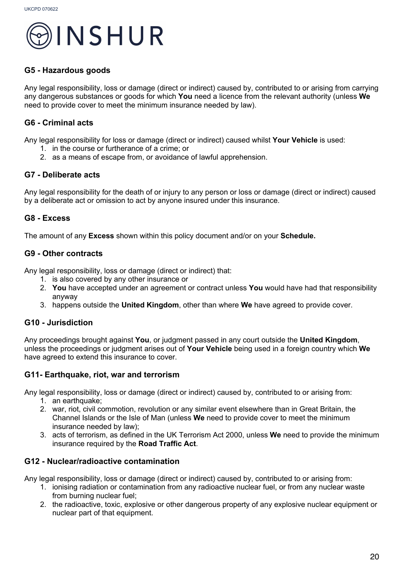

#### **G5 - Hazardous goods**

Any legal responsibility, loss or damage (direct or indirect) caused by, contributed to or arising from carrying any dangerous substances or goods for which **You** need a licence from the relevant authority (unless **We** need to provide cover to meet the minimum insurance needed by law).

#### **G6 - Criminal acts**

Any legal responsibility for loss or damage (direct or indirect) caused whilst **Your Vehicle** is used:

- 1. in the course or furtherance of a crime; or
- 2. as a means of escape from, or avoidance of lawful apprehension.

#### **G7 - Deliberate acts**

Any legal responsibility for the death of or injury to any person or loss or damage (direct or indirect) caused by a deliberate act or omission to act by anyone insured under this insurance.

#### **G8 - Excess**

The amount of any **Excess** shown within this policy document and/or on your **Schedule.**

#### **G9 - Other contracts**

Any legal responsibility, loss or damage (direct or indirect) that:

- 1. is also covered by any other insurance or
- 2. **You** have accepted under an agreement or contract unless **You** would have had that responsibility anyway
- 3. happens outside the **United Kingdom**, other than where **We** have agreed to provide cover.

#### **G10 - Jurisdiction**

Any proceedings brought against **You**, or judgment passed in any court outside the **United Kingdom**, unless the proceedings or judgment arises out of **Your Vehicle** being used in a foreign country which **We**  have agreed to extend this insurance to cover.

#### **G11- Earthquake, riot, war and terrorism**

Any legal responsibility, loss or damage (direct or indirect) caused by, contributed to or arising from:

- 1. an earthquake;
- 2. war, riot, civil commotion, revolution or any similar event elsewhere than in Great Britain, the Channel Islands or the Isle of Man (unless **We** need to provide cover to meet the minimum insurance needed by law);
- 3. acts of terrorism, as defined in the UK Terrorism Act 2000, unless **We** need to provide the minimum insurance required by the **Road Traffic Act**.

#### **G12 - Nuclear/radioactive contamination**

Any legal responsibility, loss or damage (direct or indirect) caused by, contributed to or arising from:

- 1. ionising radiation or contamination from any radioactive nuclear fuel, or from any nuclear waste from burning nuclear fuel;
- 2. the radioactive, toxic, explosive or other dangerous property of any explosive nuclear equipment or nuclear part of that equipment.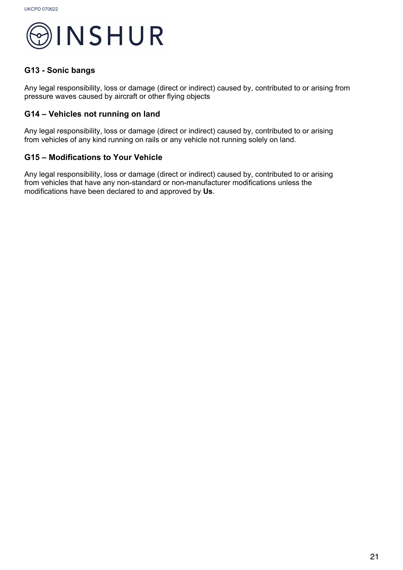

#### **G13 - Sonic bangs**

Any legal responsibility, loss or damage (direct or indirect) caused by, contributed to or arising from pressure waves caused by aircraft or other flying objects

#### **G14 – Vehicles not running on land**

Any legal responsibility, loss or damage (direct or indirect) caused by, contributed to or arising from vehicles of any kind running on rails or any vehicle not running solely on land.

#### **G15 – Modifications to Your Vehicle**

Any legal responsibility, loss or damage (direct or indirect) caused by, contributed to or arising from vehicles that have any non-standard or non-manufacturer modifications unless the modifications have been declared to and approved by **Us**.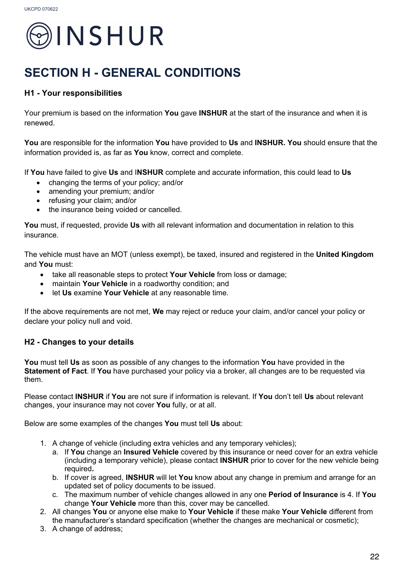

### **SECTION H - GENERAL CONDITIONS**

#### **H1 - Your responsibilities**

Your premium is based on the information **You** gave **INSHUR** at the start of the insurance and when it is renewed.

**You** are responsible for the information **You** have provided to **Us** and **INSHUR. You** should ensure that the information provided is, as far as **You** know, correct and complete.

If **You** have failed to give **Us** and I**NSHUR** complete and accurate information, this could lead to **Us**

- changing the terms of your policy; and/or
- amending your premium; and/or
- refusing your claim; and/or
- the insurance being voided or cancelled.

**You** must, if requested, provide **Us** with all relevant information and documentation in relation to this insurance.

The vehicle must have an MOT (unless exempt), be taxed, insured and registered in the **United Kingdom** and **You** must:

- take all reasonable steps to protect **Your Vehicle** from loss or damage;
- maintain **Your Vehicle** in a roadworthy condition; and
- let **Us** examine **Your Vehicle** at any reasonable time.

If the above requirements are not met, **We** may reject or reduce your claim, and/or cancel your policy or declare your policy null and void.

#### **H2 - Changes to your details**

**You** must tell **Us** as soon as possible of any changes to the information **You** have provided in the **Statement of Fact**. If **You** have purchased your policy via a broker, all changes are to be requested via them.

Please contact **INSHUR** if **You** are not sure if information is relevant. If **You** don't tell **Us** about relevant changes, your insurance may not cover **You** fully, or at all.

Below are some examples of the changes **You** must tell **Us** about:

- 1. A change of vehicle (including extra vehicles and any temporary vehicles);
	- a. If **You** change an **Insured Vehicle** covered by this insurance or need cover for an extra vehicle (including a temporary vehicle), please contact **INSHUR** prior to cover for the new vehicle being required**.**
	- b. If cover is agreed, **INSHUR** will let **You** know about any change in premium and arrange for an updated set of policy documents to be issued.
	- c. The maximum number of vehicle changes allowed in any one **Period of Insurance** is 4. If **You** change **Your Vehicle** more than this, cover may be cancelled.
- 2. All changes **You** or anyone else make to **Your Vehicle** if these make **Your Vehicle** different from the manufacturer's standard specification (whether the changes are mechanical or cosmetic);
- 3. A change of address;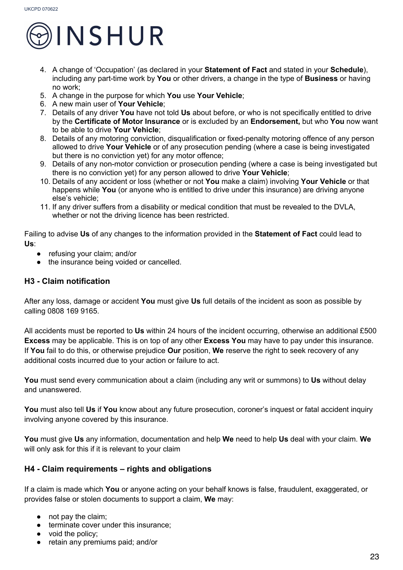

- 4. A change of 'Occupation' (as declared in your **Statement of Fact** and stated in your **Schedule**), including any part-time work by **You** or other drivers, a change in the type of **Business** or having no work;
- 5. A change in the purpose for which **You** use **Your Vehicle**;
- 6. A new main user of **Your Vehicle**;
- 7. Details of any driver **You** have not told **Us** about before, or who is not specifically entitled to drive by the **Certificate of Motor Insurance** or is excluded by an **Endorsement,** but who **You** now want to be able to drive **Your Vehicle**;
- 8. Details of any motoring conviction, disqualification or fixed-penalty motoring offence of any person allowed to drive **Your Vehicle** or of any prosecution pending (where a case is being investigated but there is no conviction yet) for any motor offence;
- 9. Details of any non-motor conviction or prosecution pending (where a case is being investigated but there is no conviction yet) for any person allowed to drive **Your Vehicle**;
- 10. Details of any accident or loss (whether or not **You** make a claim) involving **Your Vehicle** or that happens while **You** (or anyone who is entitled to drive under this insurance) are driving anyone else's vehicle;
- 11. If any driver suffers from a disability or medical condition that must be revealed to the DVLA, whether or not the driving licence has been restricted.

Failing to advise **Us** of any changes to the information provided in the **Statement of Fact** could lead to **Us**:

- refusing your claim; and/or
- the insurance being voided or cancelled.

#### **H3 - Claim notification**

After any loss, damage or accident **You** must give **Us** full details of the incident as soon as possible by calling 0808 169 9165.

All accidents must be reported to **Us** within 24 hours of the incident occurring, otherwise an additional £500 **Excess** may be applicable. This is on top of any other **Excess You** may have to pay under this insurance. If **You** fail to do this, or otherwise prejudice **Our** position, **We** reserve the right to seek recovery of any additional costs incurred due to your action or failure to act.

**You** must send every communication about a claim (including any writ or summons) to **Us** without delay and unanswered.

**You** must also tell **Us** if **You** know about any future prosecution, coroner's inquest or fatal accident inquiry involving anyone covered by this insurance.

**You** must give **Us** any information, documentation and help **We** need to help **Us** deal with your claim. **We** will only ask for this if it is relevant to your claim

#### **H4 - Claim requirements – rights and obligations**

If a claim is made which **You** or anyone acting on your behalf knows is false, fraudulent, exaggerated, or provides false or stolen documents to support a claim, **We** may:

- not pay the claim;
- terminate cover under this insurance;
- void the policy;
- retain any premiums paid; and/or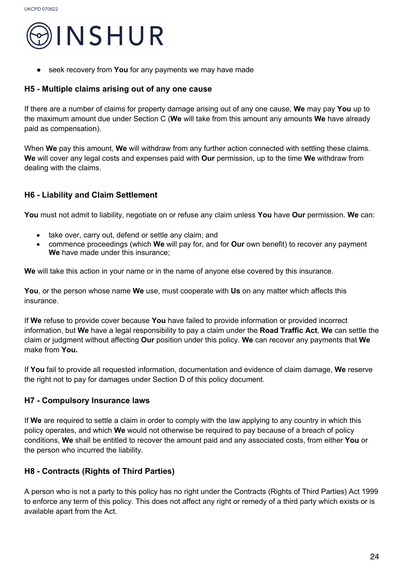

seek recovery from **You** for any payments we may have made

#### **H5 - Multiple claims arising out of any one cause**

If there are a number of claims for property damage arising out of any one cause, **We** may pay **You** up to the maximum amount due under Section C (**We** will take from this amount any amounts **We** have already paid as compensation).

When **We** pay this amount, **We** will withdraw from any further action connected with settling these claims. **We** will cover any legal costs and expenses paid with **Our** permission, up to the time **We** withdraw from dealing with the claims.

#### **H6 - Liability and Claim Settlement**

**You** must not admit to liability, negotiate on or refuse any claim unless **You** have **Our** permission. **We** can:

- take over, carry out, defend or settle any claim; and
- commence proceedings (which **We** will pay for, and for **Our** own benefit) to recover any payment **We** have made under this insurance;

**We** will take this action in your name or in the name of anyone else covered by this insurance.

**You**, or the person whose name **We** use, must cooperate with **Us** on any matter which affects this insurance.

If **We** refuse to provide cover because **You** have failed to provide information or provided incorrect information, but **We** have a legal responsibility to pay a claim under the **Road Traffic Act**, **We** can settle the claim or judgment without affecting **Our** position under this policy. **We** can recover any payments that **We**  make from **You.**

If **You** fail to provide all requested information, documentation and evidence of claim damage, **We** reserve the right not to pay for damages under Section D of this policy document.

#### **H7 - Compulsory Insurance laws**

If **We** are required to settle a claim in order to comply with the law applying to any country in which this policy operates, and which **We** would not otherwise be required to pay because of a breach of policy conditions, **We** shall be entitled to recover the amount paid and any associated costs, from either **You** or the person who incurred the liability.

#### **H8 - Contracts (Rights of Third Parties)**

A person who is not a party to this policy has no right under the Contracts (Rights of Third Parties) Act 1999 to enforce any term of this policy. This does not affect any right or remedy of a third party which exists or is available apart from the Act.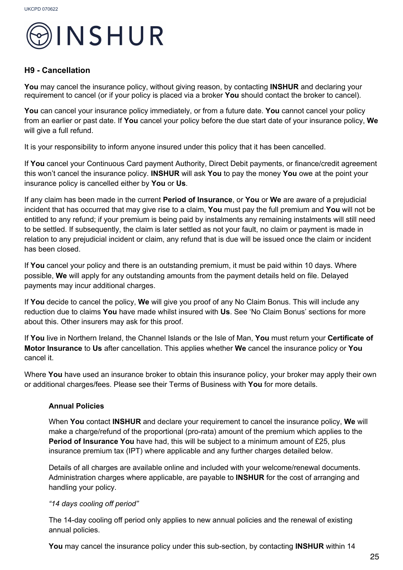

#### **H9 - Cancellation**

**You** may cancel the insurance policy, without giving reason, by contacting **INSHUR** and declaring your requirement to cancel (or if your policy is placed via a broker **You** should contact the broker to cancel).

**You** can cancel your insurance policy immediately, or from a future date. **You** cannot cancel your policy from an earlier or past date. If **You** cancel your policy before the due start date of your insurance policy, **We** will give a full refund.

It is your responsibility to inform anyone insured under this policy that it has been cancelled.

If **You** cancel your Continuous Card payment Authority, Direct Debit payments, or finance/credit agreement this won't cancel the insurance policy. **INSHUR** will ask **You** to pay the money **You** owe at the point your insurance policy is cancelled either by **You** or **Us**.

If any claim has been made in the current **Period of Insurance**, or **You** or **We** are aware of a prejudicial incident that has occurred that may give rise to a claim, **You** must pay the full premium and **You** will not be entitled to any refund; if your premium is being paid by instalments any remaining instalments will still need to be settled. If subsequently, the claim is later settled as not your fault, no claim or payment is made in relation to any prejudicial incident or claim, any refund that is due will be issued once the claim or incident has been closed.

If **You** cancel your policy and there is an outstanding premium, it must be paid within 10 days. Where possible, **We** will apply for any outstanding amounts from the payment details held on file. Delayed payments may incur additional charges.

If **You** decide to cancel the policy, **We** will give you proof of any No Claim Bonus. This will include any reduction due to claims **You** have made whilst insured with **Us**. See 'No Claim Bonus' sections for more about this. Other insurers may ask for this proof.

If **You** live in Northern Ireland, the Channel Islands or the Isle of Man, **You** must return your **Certificate of Motor Insurance** to **Us** after cancellation. This applies whether **We** cancel the insurance policy or **You**  cancel it.

Where **You** have used an insurance broker to obtain this insurance policy, your broker may apply their own or additional charges/fees. Please see their Terms of Business with **You** for more details.

#### **Annual Policies**

When **You** contact **INSHUR** and declare your requirement to cancel the insurance policy, **We** will make a charge/refund of the proportional (pro-rata) amount of the premium which applies to the **Period of Insurance You** have had, this will be subject to a minimum amount of £25, plus insurance premium tax (IPT) where applicable and any further charges detailed below.

Details of all charges are available online and included with your welcome/renewal documents. Administration charges where applicable, are payable to **INSHUR** for the cost of arranging and handling your policy.

#### *"14 days cooling off period"*

The 14-day cooling off period only applies to new annual policies and the renewal of existing annual policies.

**You** may cancel the insurance policy under this sub-section, by contacting **INSHUR** within 14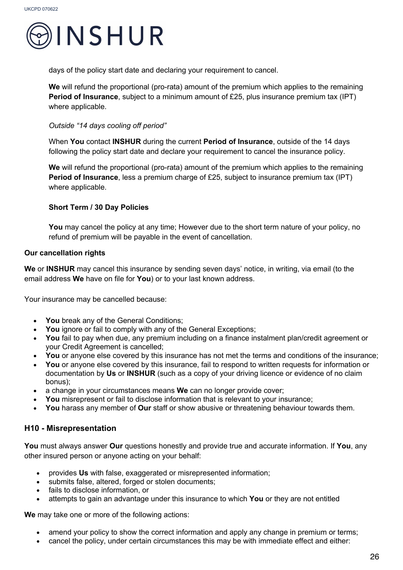

days of the policy start date and declaring your requirement to cancel.

**We** will refund the proportional (pro-rata) amount of the premium which applies to the remaining **Period of Insurance**, subject to a minimum amount of £25, plus insurance premium tax (IPT) where applicable.

#### *Outside "14 days cooling off period"*

When **You** contact **INSHUR** during the current **Period of Insurance**, outside of the 14 days following the policy start date and declare your requirement to cancel the insurance policy.

**We** will refund the proportional (pro-rata) amount of the premium which applies to the remaining **Period of Insurance**, less a premium charge of £25, subject to insurance premium tax (IPT) where applicable.

#### **Short Term / 30 Day Policies**

**You** may cancel the policy at any time; However due to the short term nature of your policy, no refund of premium will be payable in the event of cancellation.

#### **Our cancellation rights**

**We** or **INSHUR** may cancel this insurance by sending seven days' notice, in writing, via email (to the email address **We** have on file for **You**) or to your last known address.

Your insurance may be cancelled because:

- **You** break any of the General Conditions;
- You ignore or fail to comply with any of the General Exceptions;
- **You** fail to pay when due, any premium including on a finance instalment plan/credit agreement or your Credit Agreement is cancelled;
- **You** or anyone else covered by this insurance has not met the terms and conditions of the insurance;
- **You** or anyone else covered by this insurance, fail to respond to written requests for information or documentation by **Us** or **INSHUR** (such as a copy of your driving licence or evidence of no claim bonus);
- a change in your circumstances means **We** can no longer provide cover;
- **You** misrepresent or fail to disclose information that is relevant to your insurance;
- **You** harass any member of **Our** staff or show abusive or threatening behaviour towards them.

#### **H10 - Misrepresentation**

**You** must always answer **Our** questions honestly and provide true and accurate information. If **You**, any other insured person or anyone acting on your behalf:

- provides **Us** with false, exaggerated or misrepresented information;
- submits false, altered, forged or stolen documents;
- fails to disclose information, or
- attempts to gain an advantage under this insurance to which **You** or they are not entitled

**We** may take one or more of the following actions:

- amend your policy to show the correct information and apply any change in premium or terms;
- cancel the policy, under certain circumstances this may be with immediate effect and either: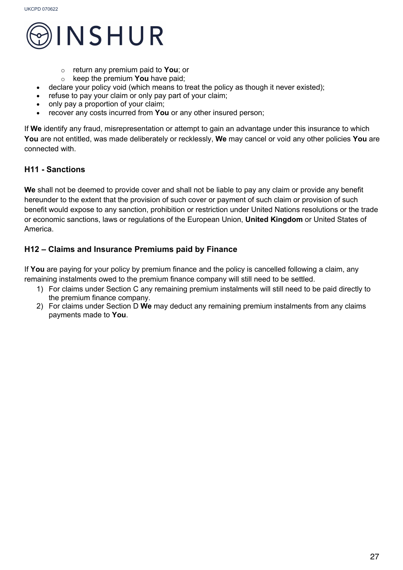

- o return any premium paid to **You**; or
- o keep the premium **You** have paid;
- declare vour policy void (which means to treat the policy as though it never existed);
- refuse to pay your claim or only pay part of your claim;
- only pay a proportion of your claim;
- recover any costs incurred from You or any other insured person;

If **We** identify any fraud, misrepresentation or attempt to gain an advantage under this insurance to which **You** are not entitled, was made deliberately or recklessly, **We** may cancel or void any other policies **You** are connected with.

#### **H11 - Sanctions**

**We** shall not be deemed to provide cover and shall not be liable to pay any claim or provide any benefit hereunder to the extent that the provision of such cover or payment of such claim or provision of such benefit would expose to any sanction, prohibition or restriction under United Nations resolutions or the trade or economic sanctions, laws or regulations of the European Union, **United Kingdom** or United States of America.

#### **H12 – Claims and Insurance Premiums paid by Finance**

If **You** are paying for your policy by premium finance and the policy is cancelled following a claim, any remaining instalments owed to the premium finance company will still need to be settled.

- 1) For claims under Section C any remaining premium instalments will still need to be paid directly to the premium finance company.
- 2) For claims under Section D **We** may deduct any remaining premium instalments from any claims payments made to **You**.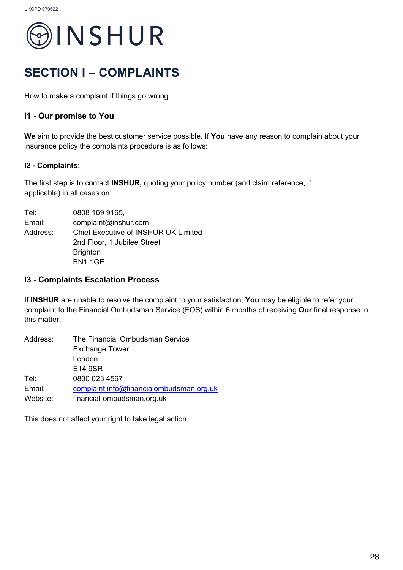

### **SECTION I – COMPLAINTS**

How to make a complaint if things go wrong

#### **I1 - Our promise to You**

**We** aim to provide the best customer service possible. If **You** have any reason to complain about your insurance policy the complaints procedure is as follows:

#### **I2 - Complaints:**

The first step is to contact **INSHUR,** quoting your policy number (and claim reference, if applicable) in all cases on:

Tel: 0808 169 9165, Email: complaint@inshur.com Address: Chief Executive of INSHUR UK Limited 2nd Floor, 1 Jubilee Street **Brighton** BN1 1GE

#### **I3 - Complaints Escalation Process**

If **INSHUR** are unable to resolve the complaint to your satisfaction, **You** may be eligible to refer your complaint to the Financial Ombudsman Service (FOS) within 6 months of receiving **Our** final response in this matter.

| Address: | The Financial Ombudsman Service          |
|----------|------------------------------------------|
|          | <b>Exchange Tower</b>                    |
|          | London                                   |
|          | E14 9SR                                  |
| Tel:     | 0800 023 4567                            |
| Email:   | complaint.info@financialombudsman.org.uk |
| Website: | financial-ombudsman.org.uk               |

This does not affect your right to take legal action.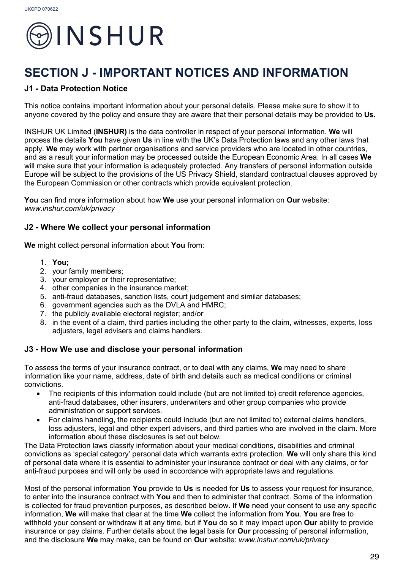

### **SECTION J - IMPORTANT NOTICES AND INFORMATION**

#### **J1 - Data Protection Notice**

This notice contains important information about your personal details. Please make sure to show it to anyone covered by the policy and ensure they are aware that their personal details may be provided to **Us.**

INSHUR UK Limited (**INSHUR)** is the data controller in respect of your personal information. **We** will process the details **You** have given **Us** in line with the UK's Data Protection laws and any other laws that apply. **We** may work with partner organisations and service providers who are located in other countries, and as a result your information may be processed outside the European Economic Area. In all cases **We**  will make sure that your information is adequately protected. Any transfers of personal information outside Europe will be subject to the provisions of the US Privacy Shield, standard contractual clauses approved by the European Commission or other contracts which provide equivalent protection.

**You** can find more information about how **We** use your personal information on **Our** website: *www.inshur.com/uk/privacy*

#### **J2 - Where We collect your personal information**

**We** might collect personal information about **You** from:

- 1. **You;**
- 2. your family members;
- 3. your employer or their representative;
- 4. other companies in the insurance market;
- 5. anti-fraud databases, sanction lists, court judgement and similar databases;
- 6. government agencies such as the DVLA and HMRC;
- 7. the publicly available electoral register; and/or
- 8. in the event of a claim, third parties including the other party to the claim, witnesses, experts, loss adjusters, legal advisers and claims handlers.

#### **J3 - How We use and disclose your personal information**

To assess the terms of your insurance contract, or to deal with any claims, **We** may need to share information like your name, address, date of birth and details such as medical conditions or criminal convictions.

- The recipients of this information could include (but are not limited to) credit reference agencies, anti-fraud databases, other insurers, underwriters and other group companies who provide administration or support services.
- For claims handling, the recipients could include (but are not limited to) external claims handlers, loss adjusters, legal and other expert advisers, and third parties who are involved in the claim. More information about these disclosures is set out below.

The Data Protection laws classify information about your medical conditions, disabilities and criminal convictions as 'special category' personal data which warrants extra protection. **We** will only share this kind of personal data where it is essential to administer your insurance contract or deal with any claims, or for anti-fraud purposes and will only be used in accordance with appropriate laws and regulations.

Most of the personal information **You** provide to **Us** is needed for **Us** to assess your request for insurance, to enter into the insurance contract with **You** and then to administer that contract. Some of the information is collected for fraud prevention purposes, as described below. If **We** need your consent to use any specific information, **We** will make that clear at the time **We** collect the information from **You**. **You** are free to withhold your consent or withdraw it at any time, but if **You** do so it may impact upon **Our** ability to provide insurance or pay claims. Further details about the legal basis for **Our** processing of personal information, and the disclosure **We** may make, can be found on **Our** website: *www.inshur.com/uk/privacy*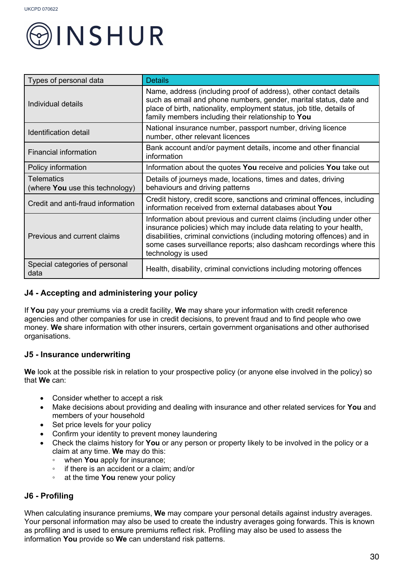

| Types of personal data                        | <b>Details</b>                                                                                                                                                                                                                                                                                                      |
|-----------------------------------------------|---------------------------------------------------------------------------------------------------------------------------------------------------------------------------------------------------------------------------------------------------------------------------------------------------------------------|
| Individual details                            | Name, address (including proof of address), other contact details<br>such as email and phone numbers, gender, marital status, date and<br>place of birth, nationality, employment status, job title, details of<br>family members including their relationship to You                                               |
| Identification detail                         | National insurance number, passport number, driving licence<br>number, other relevant licences                                                                                                                                                                                                                      |
| Financial information                         | Bank account and/or payment details, income and other financial<br>information                                                                                                                                                                                                                                      |
| Policy information                            | Information about the quotes You receive and policies You take out                                                                                                                                                                                                                                                  |
| Telematics<br>(where You use this technology) | Details of journeys made, locations, times and dates, driving<br>behaviours and driving patterns                                                                                                                                                                                                                    |
| Credit and anti-fraud information             | Credit history, credit score, sanctions and criminal offences, including<br>information received from external databases about You                                                                                                                                                                                  |
| Previous and current claims                   | Information about previous and current claims (including under other<br>insurance policies) which may include data relating to your health,<br>disabilities, criminal convictions (including motoring offences) and in<br>some cases surveillance reports; also dashcam recordings where this<br>technology is used |
| Special categories of personal<br>data        | Health, disability, criminal convictions including motoring offences                                                                                                                                                                                                                                                |

#### **J4 - Accepting and administering your policy**

If **You** pay your premiums via a credit facility, **We** may share your information with credit reference agencies and other companies for use in credit decisions, to prevent fraud and to find people who owe money. **We** share information with other insurers, certain government organisations and other authorised organisations.

#### **J5 - Insurance underwriting**

**We** look at the possible risk in relation to your prospective policy (or anyone else involved in the policy) so that **We** can:

- Consider whether to accept a risk
- Make decisions about providing and dealing with insurance and other related services for **You** and members of your household
- Set price levels for your policy
- Confirm your identity to prevent money laundering
- Check the claims history for **You** or any person or property likely to be involved in the policy or a claim at any time. **We** may do this:
	- when **You** apply for insurance;
	- if there is an accident or a claim; and/or
	- at the time **You** renew your policy

#### **J6 - Profiling**

When calculating insurance premiums, **We** may compare your personal details against industry averages. Your personal information may also be used to create the industry averages going forwards. This is known as profiling and is used to ensure premiums reflect risk. Profiling may also be used to assess the information **You** provide so **We** can understand risk patterns.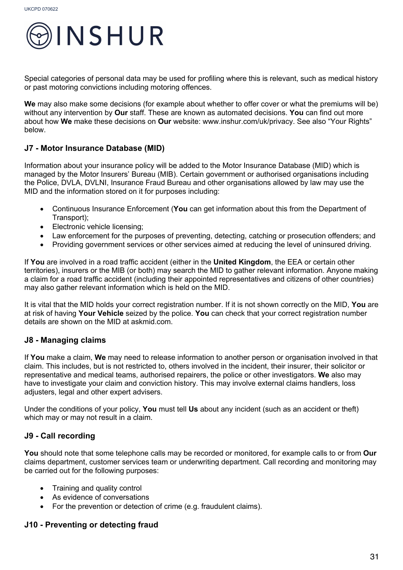

Special categories of personal data may be used for profiling where this is relevant, such as medical history or past motoring convictions including motoring offences.

**We** may also make some decisions (for example about whether to offer cover or what the premiums will be) without any intervention by **Our** staff. These are known as automated decisions. **You** can find out more about how **We** make these decisions on **Our** website: www.inshur.com/uk/privacy. See also "Your Rights" below.

#### **J7 - Motor Insurance Database (MID)**

Information about your insurance policy will be added to the Motor Insurance Database (MID) which is managed by the Motor Insurers' Bureau (MIB). Certain government or authorised organisations including the Police, DVLA, DVLNI, Insurance Fraud Bureau and other organisations allowed by law may use the MID and the information stored on it for purposes including:

- Continuous Insurance Enforcement (**You** can get information about this from the Department of Transport);
- Electronic vehicle licensing;
- Law enforcement for the purposes of preventing, detecting, catching or prosecution offenders; and
- Providing government services or other services aimed at reducing the level of uninsured driving.

If **You** are involved in a road traffic accident (either in the **United Kingdom**, the EEA or certain other territories), insurers or the MIB (or both) may search the MID to gather relevant information. Anyone making a claim for a road traffic accident (including their appointed representatives and citizens of other countries) may also gather relevant information which is held on the MID.

It is vital that the MID holds your correct registration number. If it is not shown correctly on the MID, **You** are at risk of having **Your Vehicle** seized by the police. **You** can check that your correct registration number details are shown on the MID at askmid.com.

#### **J8 - Managing claims**

If **You** make a claim, **We** may need to release information to another person or organisation involved in that claim. This includes, but is not restricted to, others involved in the incident, their insurer, their solicitor or representative and medical teams, authorised repairers, the police or other investigators. **We** also may have to investigate your claim and conviction history. This may involve external claims handlers, loss adjusters, legal and other expert advisers.

Under the conditions of your policy, **You** must tell **Us** about any incident (such as an accident or theft) which may or may not result in a claim.

#### **J9 - Call recording**

**You** should note that some telephone calls may be recorded or monitored, for example calls to or from **Our** claims department, customer services team or underwriting department. Call recording and monitoring may be carried out for the following purposes:

- Training and quality control
- As evidence of conversations
- For the prevention or detection of crime (e.g. fraudulent claims).

#### **J10 - Preventing or detecting fraud**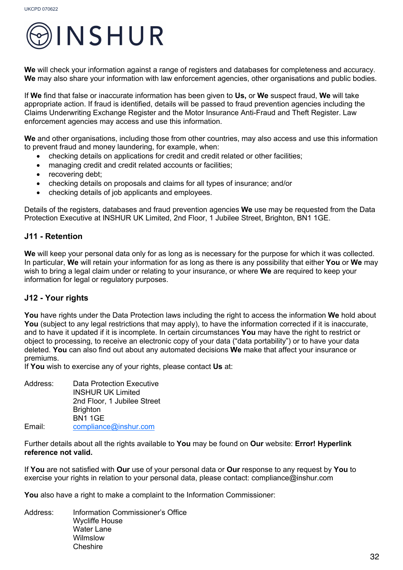

**We** will check your information against a range of registers and databases for completeness and accuracy. We may also share your information with law enforcement agencies, other organisations and public bodies.

If **We** find that false or inaccurate information has been given to **Us,** or **We** suspect fraud, **We** will take appropriate action. If fraud is identified, details will be passed to fraud prevention agencies including the Claims Underwriting Exchange Register and the Motor Insurance Anti-Fraud and Theft Register. Law enforcement agencies may access and use this information.

**We** and other organisations, including those from other countries, may also access and use this information to prevent fraud and money laundering, for example, when:

- checking details on applications for credit and credit related or other facilities;
- managing credit and credit related accounts or facilities;
- recovering debt:
- checking details on proposals and claims for all types of insurance; and/or
- checking details of job applicants and employees.

Details of the registers, databases and fraud prevention agencies **We** use may be requested from the Data Protection Executive at INSHUR UK Limited, 2nd Floor, 1 Jubilee Street, Brighton, BN1 1GE.

#### **J11 - Retention**

**We** will keep your personal data only for as long as is necessary for the purpose for which it was collected. In particular, **We** will retain your information for as long as there is any possibility that either **You** or **We** may wish to bring a legal claim under or relating to your insurance, or where **We** are required to keep your information for legal or regulatory purposes.

#### **J12 - Your rights**

**You** have rights under the Data Protection laws including the right to access the information **We** hold about **You** (subject to any legal restrictions that may apply), to have the information corrected if it is inaccurate, and to have it updated if it is incomplete. In certain circumstances **You** may have the right to restrict or object to processing, to receive an electronic copy of your data ("data portability") or to have your data deleted. **You** can also find out about any automated decisions **We** make that affect your insurance or premiums.

If **You** wish to exercise any of your rights, please contact **Us** at:

Address: Data Protection Executive INSHUR UK Limited 2nd Floor, 1 Jubilee Street **Brighton** BN1 1GE Email: compliance@inshur.com

Further details about all the rights available to **You** may be found on **Our** website: **Error! Hyperlink reference not valid.**

If **You** are not satisfied with **Our** use of your personal data or **Our** response to any request by **You** to exercise your rights in relation to your personal data, please contact: compliance@inshur.com

**You** also have a right to make a complaint to the Information Commissioner:

Address: Information Commissioner's Office Wycliffe House Water Lane Wilmslow **Cheshire**